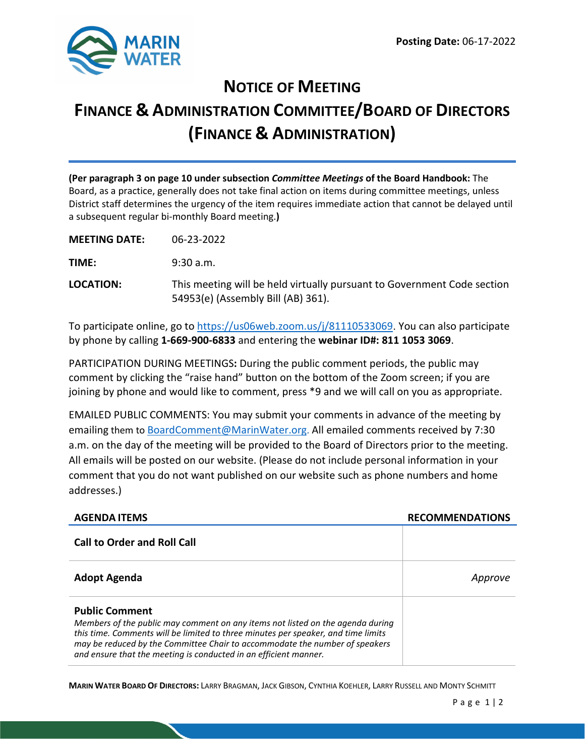

# **NOTICE OF MEETING FINANCE & ADMINISTRATION COMMITTEE/BOARD OF DIRECTORS (FINANCE & ADMINISTRATION)**

**(Per paragraph 3 on page 10 under subsection** *Committee Meetings* **of the Board Handbook:** The Board, as a practice, generally does not take final action on items during committee meetings, unless District staff determines the urgency of the item requires immediate action that cannot be delayed until a subsequent regular bi-monthly Board meeting.**)**

**MEETING DATE:** 06-23-2022

**TIME:** 9:30 a.m.

**LOCATION:** This meeting will be held virtually pursuant to Government Code section 54953(e) (Assembly Bill (AB) 361).

To participate online, go to <https://us06web.zoom.us/j/81110533069>. You can also participate by phone by calling **1-669-900-6833** and entering the **webinar ID#: 811 1053 3069**.

PARTICIPATION DURING MEETINGS**:** During the public comment periods, the public may comment by clicking the "raise hand" button on the bottom of the Zoom screen; if you are joining by phone and would like to comment, press \*9 and we will call on you as appropriate.

EMAILED PUBLIC COMMENTS: You may submit your comments in advance of the meeting by emailing them to [BoardComment@MarinWater.org.](mailto:BoardComment@MarinWater.org) All emailed comments received by 7:30 a.m. on the day of the meeting will be provided to the Board of Directors prior to the meeting. All emails will be posted on our website. (Please do not include personal information in your comment that you do not want published on our website such as phone numbers and home addresses.)

| <b>AGENDA ITEMS</b>                                                                                                                                                                                                                                                                                                                             | <b>RECOMMENDATIONS</b> |
|-------------------------------------------------------------------------------------------------------------------------------------------------------------------------------------------------------------------------------------------------------------------------------------------------------------------------------------------------|------------------------|
| <b>Call to Order and Roll Call</b>                                                                                                                                                                                                                                                                                                              |                        |
| <b>Adopt Agenda</b>                                                                                                                                                                                                                                                                                                                             | Approve                |
| <b>Public Comment</b><br>Members of the public may comment on any items not listed on the agenda during<br>this time. Comments will be limited to three minutes per speaker, and time limits<br>may be reduced by the Committee Chair to accommodate the number of speakers<br>and ensure that the meeting is conducted in an efficient manner. |                        |

**MARIN WATER BOARD OF DIRECTORS:** LARRY BRAGMAN, JACK GIBSON, CYNTHIA KOEHLER, LARRY RUSSELL AND MONTY SCHMITT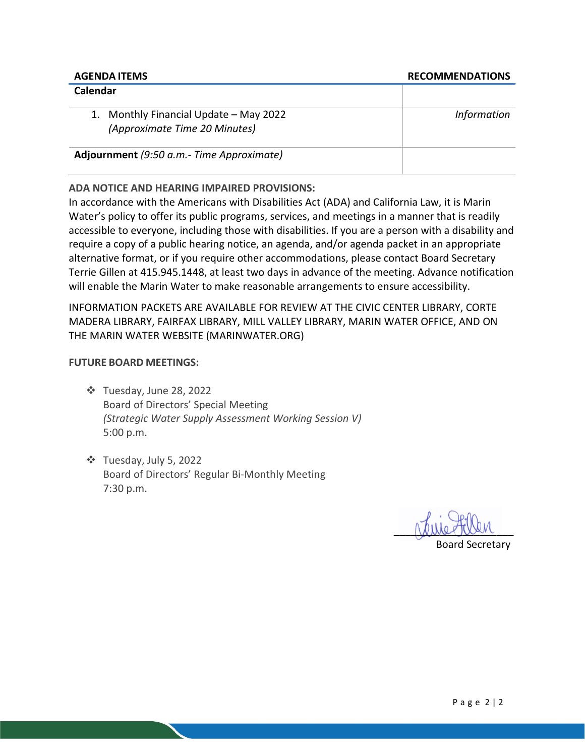| Calendar                                                                |                    |
|-------------------------------------------------------------------------|--------------------|
| 1. Monthly Financial Update - May 2022<br>(Approximate Time 20 Minutes) | <b>Information</b> |
| Adjournment (9:50 a.m.- Time Approximate)                               |                    |

**ADA NOTICE AND HEARING IMPAIRED PROVISIONS:**

In accordance with the Americans with Disabilities Act (ADA) and California Law, it is Marin Water's policy to offer its public programs, services, and meetings in a manner that is readily accessible to everyone, including those with disabilities. If you are a person with a disability and require a copy of a public hearing notice, an agenda, and/or agenda packet in an appropriate alternative format, or if you require other accommodations, please contact Board Secretary Terrie Gillen at 415.945.1448, at least two days in advance of the meeting. Advance notification will enable the Marin Water to make reasonable arrangements to ensure accessibility.

INFORMATION PACKETS ARE AVAILABLE FOR REVIEW AT THE CIVIC CENTER LIBRARY, CORTE MADERA LIBRARY, FAIRFAX LIBRARY, MILL VALLEY LIBRARY, MARIN WATER OFFICE, AND ON THE MARIN WATER WEBSITE (MARINWATER.ORG)

# **FUTURE BOARD MEETINGS:**

- Tuesday, June 28, 2022 Board of Directors' Special Meeting *(Strategic Water Supply Assessment Working Session V)* 5:00 p.m.
- Tuesday, July 5, 2022 Board of Directors' Regular Bi-Monthly Meeting 7:30 p.m.

and the state

Board Secretary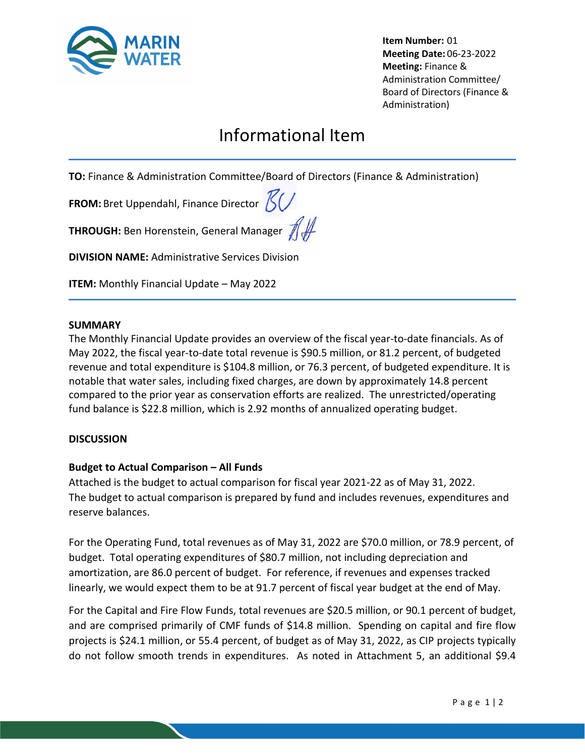

**Item Number:** 01 **Meeting Date:** 06-23-2022 **Meeting:** Finance & Administration Committee/ Board of Directors (Finance & Administration)

# Informational Item

**TO:** Finance & Administration Committee/Board of Directors (Finance & Administration)

**FROM:** Bret Uppendahl, Finance Director  $\mathcal{K}/\mathcal{L}$ 

**THROUGH:** Ben Horenstein, General Manager  $\mathscr{H}\mathscr{H}$ 

**DIVISION NAME:** Administrative Services Division

**ITEM:** Monthly Financial Update – May 2022

#### **SUMMARY**

The Monthly Financial Update provides an overview of the fiscal year-to-date financials. As of May 2022, the fiscal year-to-date total revenue is \$90.5 million, or 81.2 percent, of budgeted revenue and total expenditure is \$104.8 million, or 76.3 percent, of budgeted expenditure. It is notable that water sales, including fixed charges, are down by approximately 14.8 percent compared to the prior year as conservation efforts are realized. The unrestricted/operating fund balance is \$22.8 million, which is 2.92 months of annualized operating budget.

## **DISCUSSION**

## **Budget to Actual Comparison – All Funds**

Attached is the budget to actual comparison for fiscal year 2021-22 as of May 31, 2022. The budget to actual comparison is prepared by fund and includes revenues, expenditures and reserve balances.

For the Operating Fund, total revenues as of May 31, 2022 are \$70.0 million, or 78.9 percent, of budget. Total operating expenditures of \$80.7 million, not including depreciation and amortization, are 86.0 percent of budget. For reference, if revenues and expenses tracked linearly, we would expect them to be at 91.7 percent of fiscal year budget at the end of May.

For the Capital and Fire Flow Funds, total revenues are \$20.5 million, or 90.1 percent of budget, and are comprised primarily of CMF funds of \$14.8 million. Spending on capital and fire flow projects is \$24.1 million, or 55.4 percent, of budget as of May 31, 2022, as CIP projects typically do not follow smooth trends in expenditures. As noted in Attachment 5, an additional \$9.4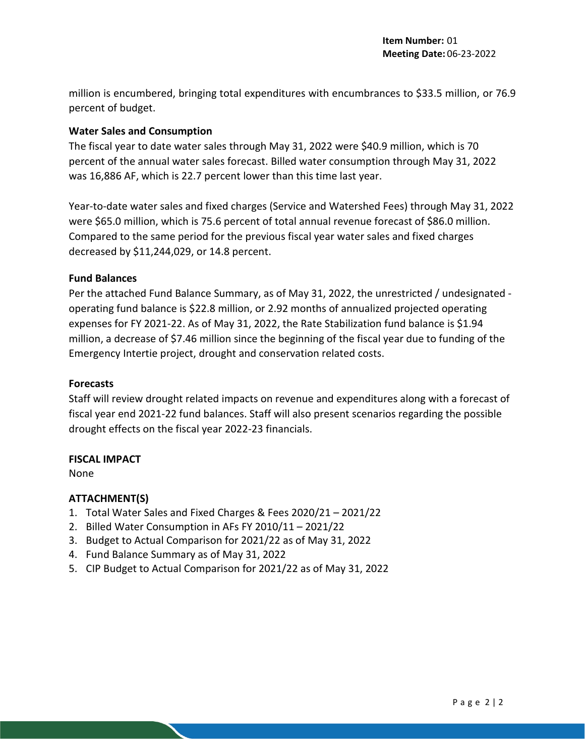million is encumbered, bringing total expenditures with encumbrances to \$33.5 million, or 76.9 percent of budget.

#### **Water Sales and Consumption**

The fiscal year to date water sales through May 31, 2022 were \$40.9 million, which is 70 percent of the annual water sales forecast. Billed water consumption through May 31, 2022 was 16,886 AF, which is 22.7 percent lower than this time last year.

Year-to-date water sales and fixed charges (Service and Watershed Fees) through May 31, 2022 were \$65.0 million, which is 75.6 percent of total annual revenue forecast of \$86.0 million. Compared to the same period for the previous fiscal year water sales and fixed charges decreased by \$11,244,029, or 14.8 percent.

#### **Fund Balances**

Per the attached Fund Balance Summary, as of May 31, 2022, the unrestricted / undesignated operating fund balance is \$22.8 million, or 2.92 months of annualized projected operating expenses for FY 2021-22. As of May 31, 2022, the Rate Stabilization fund balance is \$1.94 million, a decrease of \$7.46 million since the beginning of the fiscal year due to funding of the Emergency Intertie project, drought and conservation related costs.

#### **Forecasts**

Staff will review drought related impacts on revenue and expenditures along with a forecast of fiscal year end 2021-22 fund balances. Staff will also present scenarios regarding the possible drought effects on the fiscal year 2022-23 financials.

## **FISCAL IMPACT**

None

## **ATTACHMENT(S)**

- 1. Total Water Sales and Fixed Charges & Fees 2020/21 2021/22
- 2. Billed Water Consumption in AFs FY 2010/11 2021/22
- 3. Budget to Actual Comparison for 2021/22 as of May 31, 2022
- 4. Fund Balance Summary as of May 31, 2022
- 5. CIP Budget to Actual Comparison for 2021/22 as of May 31, 2022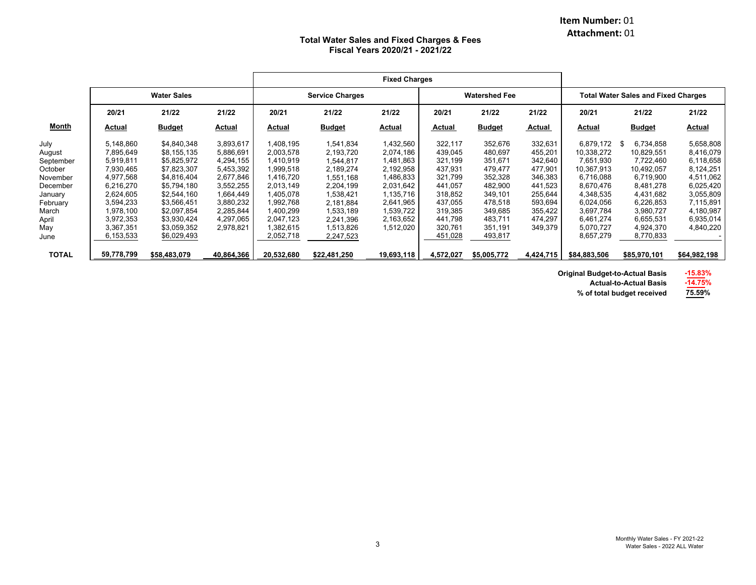#### **Item Number:** 01 **Attachment:** 01

#### **Total Water Sales and Fixed Charges & Fees Fiscal Years 2020/21 - 2021/22**

|              |            | <b>Water Sales</b> |            |            | <b>Service Charges</b> |            | <b>Watershed Fee</b> |               | <b>Total Water Sales and Fixed Charges</b> |              |                  |               |
|--------------|------------|--------------------|------------|------------|------------------------|------------|----------------------|---------------|--------------------------------------------|--------------|------------------|---------------|
|              | 20/21      | 21/22              | 21/22      | 20/21      | 21/22                  | 21/22      | 20/21                | 21/22         | 21/22                                      | 20/21        | 21/22            | 21/22         |
| <b>Month</b> | Actual     | <b>Budget</b>      | Actual     | Actual     | <b>Budget</b>          | Actual     | Actual               | <b>Budget</b> | Actual                                     | Actual       | <b>Budget</b>    | <u>Actual</u> |
| July         | 5,148,860  | \$4,840,348        | 3,893,617  | 1,408,195  | 1,541,834              | 1,432,560  | 322,117              | 352,676       | 332,631                                    | 6.879.172    | 6,734,858<br>-96 | 5,658,808     |
| August       | 7,895,649  | \$8,155,135        | 5,886,691  | 2,003,578  | 2,193,720              | 2,074,186  | 439,045              | 480,697       | 455,201                                    | 10,338,272   | 10,829,551       | 8,416,079     |
| September    | 5,919,811  | \$5,825,972        | 4,294,155  | 1,410,919  | 1,544,817              | 1,481,863  | 321,199              | 351,671       | 342,640                                    | 7,651,930    | 7,722,460        | 6,118,658     |
| October      | 7,930,465  | \$7,823,307        | 5,453,392  | 1,999,518  | 2,189,274              | 2,192,958  | 437,931              | 479,477       | 477,901                                    | 10,367,913   | 10,492,057       | 8,124,251     |
| November     | 4,977,568  | \$4,816,404        | 2,677,846  | 1,416,720  | 1,551,168              | 1,486,833  | 321,799              | 352,328       | 346,383                                    | 6,716,088    | 6,719,900        | 4,511,062     |
| December     | 6,216,270  | \$5,794,180        | 3,552,255  | 2,013,149  | 2,204,199              | 2,031,642  | 441,057              | 482,900       | 441,523                                    | 8,670,476    | 8,481,278        | 6,025,420     |
| January      | 2,624,605  | \$2,544,160        | 1,664,449  | 1,405,078  | 1,538,421              | 1,135,716  | 318,852              | 349,101       | 255,644                                    | 4,348,535    | 4,431,682        | 3,055,809     |
| February     | 3,594,233  | \$3,566,451        | 3,880,232  | 1,992,768  | 2,181,884              | 2,641,965  | 437,055              | 478,518       | 593,694                                    | 6,024,056    | 6,226,853        | 7,115,891     |
| March        | ,978,100   | \$2,097,854        | 2,285,844  | 1,400,299  | 1,533,189              | 1,539,722  | 319,385              | 349,685       | 355,422                                    | 3,697,784    | 3,980,727        | 4,180,987     |
| April        | 3,972,353  | \$3,930,424        | 4,297,065  | 2,047,123  | 2,241,396              | 2,163,652  | 441,798              | 483,711       | 474,297                                    | 6,461,274    | 6,655,531        | 6,935,014     |
| May          | 3,367,351  | \$3,059,352        | 2,978,821  | 1,382,615  | 1,513,826              | 1,512,020  | 320,761              | 351,191       | 349,379                                    | 5,070,727    | 4,924,370        | 4,840,220     |
| June         | 6,153,533  | \$6,029,493        |            | 2,052,718  | 2,247,523              |            | 451,028              | 493,817       |                                            | 8,657,279    | 8,770,833        |               |
| <b>TOTAL</b> | 59,778,799 | \$58,483,079       | 40,864,366 | 20,532,680 | \$22,481,250           | 19,693,118 | 4,572,027            | \$5,005,772   | 4,424,715                                  | \$84,883,506 | \$85,970,101     | \$64,982,198  |

**Original Budget-to-Actual Basis -15.83%**

**Actual-to-Actual Basis-14.75%**

**% of total budget received 75.59%**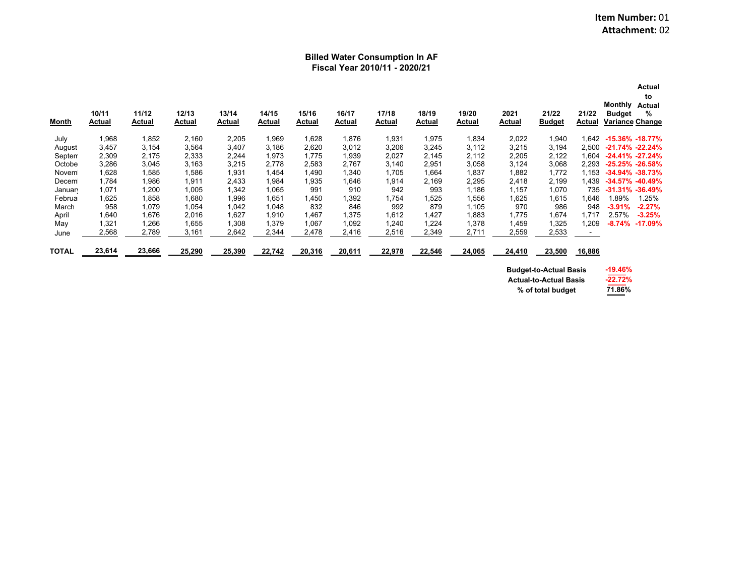#### **Billed Water Consumption In AF Fiscal Year 2010/11 - 2020/21**

| Month        | 10/11<br>Actual | 11/12<br>Actual | 12/13<br>Actual | 13/14<br>Actual | 14/15<br>Actual | 15/16<br>Actual | 16/17<br>Actual | 17/18<br>Actual | 18/19<br>Actual | 19/20<br>Actual | 2021<br>Actual | 21/22<br><b>Budget</b> | 21/22<br>Actual | Actual<br>to<br>Monthly<br><b>Actual</b><br>%<br><b>Budget</b><br><b>Variance Change</b> |
|--------------|-----------------|-----------------|-----------------|-----------------|-----------------|-----------------|-----------------|-----------------|-----------------|-----------------|----------------|------------------------|-----------------|------------------------------------------------------------------------------------------|
| July         | 1,968           | 1,852           | 2,160           | 2,205           | 1,969           | 1,628           | 1,876           | 1,931           | 1,975           | 1,834           | 2,022          | 1,940                  | 1.642           | $-15.36\% -18.77\%$                                                                      |
| August       | 3,457           | 3.154           | 3.564           | 3,407           | 3.186           | 2,620           | 3.012           | 3.206           | 3.245           | 3.112           | 3,215          | 3,194                  | 2.500           | $-21.74\% -22.24\%$                                                                      |
| Septem       | 2,309           | 2.175           | 2,333           | 2,244           | 1.973           | 1.775           | 1,939           | 2,027           | 2,145           | 2,112           | 2,205          | 2,122                  | 1.604           | $-24.41\% -27.24\%$                                                                      |
| Octobe       | 3,286           | 3,045           | 3,163           | 3,215           | 2.778           | 2,583           | 2,767           | 3,140           | 2,951           | 3,058           | 3,124          | 3,068                  | 2.293           | $-25.25\% -26.58\%$                                                                      |
| Novem        | 1,628           | 1,585           | 1,586           | 1,931           | 1,454           | 1,490           | 1,340           | 1,705           | 1,664           | 1,837           | 1,882          | 1,772                  | 1.153           | $-34.94\% -38.73\%$                                                                      |
| Decem        | 1,784           | 1,986           | 1,911           | 2,433           | 1,984           | .935            | 1,646           | 1,914           | 2,169           | 2,295           | 2,418          | 2,199                  | 1.439           | $-34.57\% -40.49\%$                                                                      |
| Januan       | 1,071           | 1,200           | 1,005           | 1,342           | 1,065           | 991             | 910             | 942             | 993             | 1,186           | 1,157          | 1,070                  | 735             | $-31.31\% -36.49\%$                                                                      |
| Februa       | 1,625           | 1.858           | 1,680           | 1,996           | 1,651           | 1,450           | .392            | ,754            | 1,525           | 1,556           | 1,625          | 1,615                  | 1,646           | 1.25%<br>89%⊳                                                                            |
| March        | 958             | 1,079           | 1,054           | 1,042           | 1,048           | 832             | 846             | 992             | 879             | 1,105           | 970            | 986                    | 948             | $-2.27%$<br>$-3.91%$                                                                     |
| April        | 1,640           | 1,676           | 2,016           | 1,627           | 1,910           | .467            | 1,375           | 1,612           | 1,427           | 1,883           | 1,775          | 1,674                  | 1.717           | 2.57%<br>$-3.25%$                                                                        |
| May          | 1,321           | 1,266           | 1,655           | 1,308           | 1,379           | 1,067           | 1,092           | 1.240           | 1,224           | 1,378           | 1,459          | 1,325                  | 1.209           | $-8.74%$<br>$-17.09%$                                                                    |
| June         | 2,568           | 2,789           | 3,161           | 2,642           | 2,344           | 2,478           | 2,416           | 2,516           | 2,349           | 2,711           | 2,559          | 2,533                  |                 |                                                                                          |
| <b>TOTAL</b> | 23,614          | 23,666          | 25,290          | 25,390          | 22,742          | 20,316          | 20,611          | 22,978          | 22,546          | 24,065          | 24,410         | 23,500                 | 16,886          |                                                                                          |

**Budget-to-Actual Basis Actual-to-Actual Basis% of total budget**

| -19.46% |
|---------|
| 22.72%  |
| 71.86%  |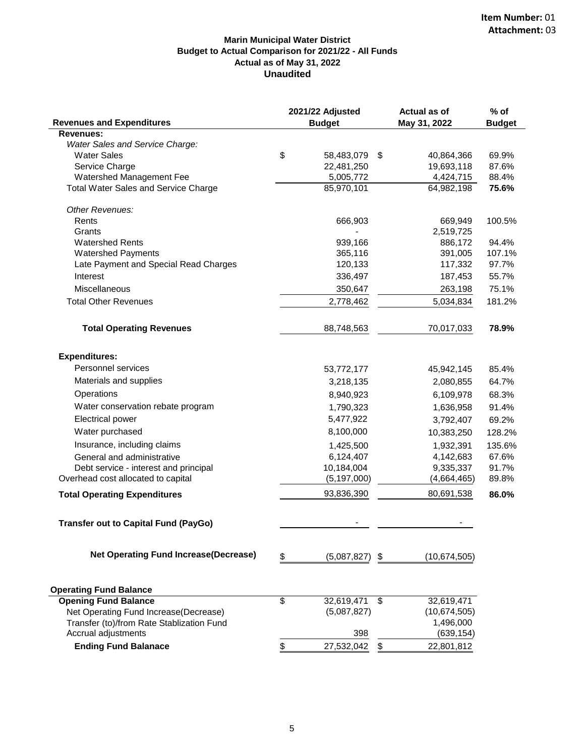#### **Marin Municipal Water District Budget to Actual Comparison for 2021/22 - All Funds Actual as of May 31, 2022 Unaudited**

|                                              | 2021/22 Adjusted  | <b>Actual as of</b> | $%$ of        |  |
|----------------------------------------------|-------------------|---------------------|---------------|--|
| <b>Revenues and Expenditures</b>             | <b>Budget</b>     | May 31, 2022        | <b>Budget</b> |  |
| <b>Revenues:</b>                             |                   |                     |               |  |
| Water Sales and Service Charge:              |                   |                     |               |  |
| <b>Water Sales</b>                           | \$<br>58,483,079  | \$<br>40,864,366    | 69.9%         |  |
| Service Charge                               | 22,481,250        | 19,693,118          | 87.6%         |  |
| Watershed Management Fee                     | 5,005,772         | 4,424,715           | 88.4%         |  |
| <b>Total Water Sales and Service Charge</b>  | 85,970,101        | 64,982,198          | 75.6%         |  |
| Other Revenues:                              |                   |                     |               |  |
| Rents                                        | 666,903           | 669,949             | 100.5%        |  |
| Grants                                       |                   | 2,519,725           |               |  |
| <b>Watershed Rents</b>                       | 939,166           | 886,172             | 94.4%         |  |
| <b>Watershed Payments</b>                    | 365,116           | 391,005             | 107.1%        |  |
| Late Payment and Special Read Charges        | 120,133           | 117,332             | 97.7%         |  |
| Interest                                     | 336,497           | 187,453             | 55.7%         |  |
| Miscellaneous                                | 350,647           | 263,198             | 75.1%         |  |
| <b>Total Other Revenues</b>                  | 2,778,462         | 5,034,834           | 181.2%        |  |
| <b>Total Operating Revenues</b>              | 88,748,563        | 70,017,033          | 78.9%         |  |
| <b>Expenditures:</b>                         |                   |                     |               |  |
| Personnel services                           | 53,772,177        | 45,942,145          | 85.4%         |  |
| Materials and supplies                       | 3,218,135         | 2,080,855           | 64.7%         |  |
| Operations                                   | 8,940,923         | 6,109,978           | 68.3%         |  |
| Water conservation rebate program            | 1,790,323         | 1,636,958           | 91.4%         |  |
| Electrical power                             | 5,477,922         | 3,792,407           | 69.2%         |  |
| Water purchased                              | 8,100,000         | 10,383,250          | 128.2%        |  |
| Insurance, including claims                  | 1,425,500         | 1,932,391           | 135.6%        |  |
| General and administrative                   | 6,124,407         | 4,142,683           | 67.6%         |  |
| Debt service - interest and principal        | 10,184,004        | 9,335,337           | 91.7%         |  |
| Overhead cost allocated to capital           | (5, 197, 000)     | (4,664,465)         | 89.8%         |  |
| <b>Total Operating Expenditures</b>          | 93,836,390        | 80,691,538          | 86.0%         |  |
|                                              |                   |                     |               |  |
| <b>Transfer out to Capital Fund (PayGo)</b>  |                   |                     |               |  |
| <b>Net Operating Fund Increase(Decrease)</b> | \$<br>(5,087,827) | \$<br>(10,674,505)  |               |  |
|                                              |                   |                     |               |  |
| <b>Operating Fund Balance</b>                |                   |                     |               |  |
| <b>Opening Fund Balance</b>                  | \$<br>32,619,471  | \$<br>32,619,471    |               |  |
| Net Operating Fund Increase(Decrease)        | (5,087,827)       | (10,674,505)        |               |  |
| Transfer (to)/from Rate Stablization Fund    |                   | 1,496,000           |               |  |
| Accrual adjustments                          | 398               | (639, 154)          |               |  |
| <b>Ending Fund Balanace</b>                  | \$<br>27,532,042  | \$<br>22,801,812    |               |  |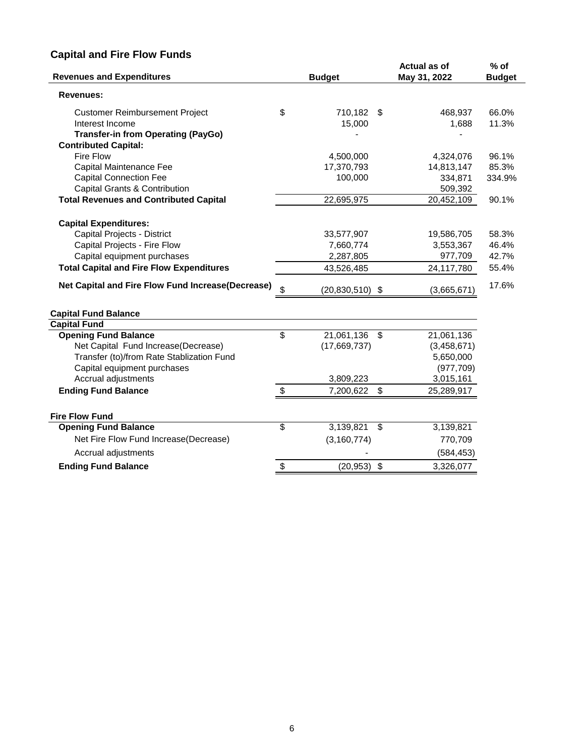# **Capital and Fire Flow Funds**

| <b>Revenues and Expenditures</b>                  | <b>Budget</b>             |      | Actual as of<br>May 31, 2022 | $%$ of<br><b>Budget</b> |
|---------------------------------------------------|---------------------------|------|------------------------------|-------------------------|
| <b>Revenues:</b>                                  |                           |      |                              |                         |
| <b>Customer Reimbursement Project</b>             | \$<br>710,182             | - \$ | 468,937                      | 66.0%                   |
| Interest Income                                   | 15,000                    |      | 1,688                        | 11.3%                   |
| <b>Transfer-in from Operating (PayGo)</b>         |                           |      |                              |                         |
| <b>Contributed Capital:</b>                       |                           |      |                              |                         |
| Fire Flow                                         | 4,500,000                 |      | 4,324,076                    | 96.1%                   |
| Capital Maintenance Fee                           | 17,370,793                |      | 14,813,147                   | 85.3%                   |
| <b>Capital Connection Fee</b>                     | 100,000                   |      | 334,871                      | 334.9%                  |
| Capital Grants & Contribution                     |                           |      | 509,392                      |                         |
| <b>Total Revenues and Contributed Capital</b>     | 22,695,975                |      | 20,452,109                   | 90.1%                   |
| <b>Capital Expenditures:</b>                      |                           |      |                              |                         |
| Capital Projects - District                       | 33,577,907                |      | 19,586,705                   | 58.3%                   |
| Capital Projects - Fire Flow                      | 7,660,774                 |      | 3,553,367                    | 46.4%                   |
| Capital equipment purchases                       | 2,287,805                 |      | 977,709                      | 42.7%                   |
| <b>Total Capital and Fire Flow Expenditures</b>   | 43,526,485                |      | 24,117,780                   | 55.4%                   |
| Net Capital and Fire Flow Fund Increase(Decrease) | \$<br>$(20, 830, 510)$ \$ |      | (3,665,671)                  | 17.6%                   |
| <b>Capital Fund Balance</b>                       |                           |      |                              |                         |
| <b>Capital Fund</b>                               |                           |      |                              |                         |
| <b>Opening Fund Balance</b>                       | \$<br>21,061,136          | \$   | 21,061,136                   |                         |
| Net Capital Fund Increase(Decrease)               | (17,669,737)              |      | (3,458,671)                  |                         |
| Transfer (to)/from Rate Stablization Fund         |                           |      | 5,650,000                    |                         |
| Capital equipment purchases                       |                           |      | (977, 709)                   |                         |
| Accrual adjustments                               | 3,809,223                 |      | 3,015,161                    |                         |
| <b>Ending Fund Balance</b>                        | \$<br>7,200,622           | \$   | 25,289,917                   |                         |
| <b>Fire Flow Fund</b>                             |                           |      |                              |                         |
| <b>Opening Fund Balance</b>                       | \$<br>3,139,821           | \$   | 3,139,821                    |                         |
| Net Fire Flow Fund Increase(Decrease)             | (3, 160, 774)             |      | 770,709                      |                         |
| Accrual adjustments                               |                           |      | (584, 453)                   |                         |
| <b>Ending Fund Balance</b>                        | \$<br>(20, 953)           | \$   | 3,326,077                    |                         |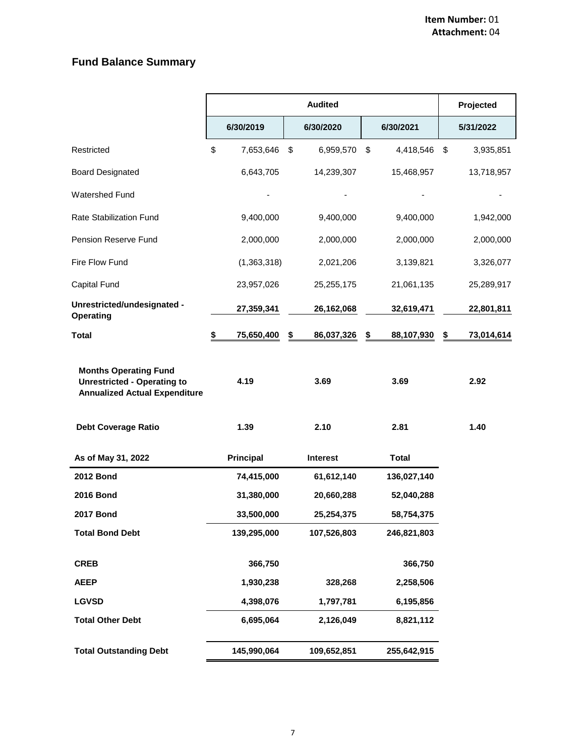# **Fund Balance Summary**

|                                                                                                            |                  | Projected        |                  |                  |
|------------------------------------------------------------------------------------------------------------|------------------|------------------|------------------|------------------|
|                                                                                                            | 6/30/2019        | 6/30/2020        | 6/30/2021        | 5/31/2022        |
| Restricted                                                                                                 | \$<br>7,653,646  | \$<br>6,959,570  | \$<br>4,418,546  | \$<br>3,935,851  |
| <b>Board Designated</b>                                                                                    | 6,643,705        | 14,239,307       | 15,468,957       | 13,718,957       |
| <b>Watershed Fund</b>                                                                                      |                  |                  |                  |                  |
| <b>Rate Stabilization Fund</b>                                                                             | 9,400,000        | 9,400,000        | 9,400,000        | 1,942,000        |
| Pension Reserve Fund                                                                                       | 2,000,000        | 2,000,000        | 2,000,000        | 2,000,000        |
| Fire Flow Fund                                                                                             | (1,363,318)      | 2,021,206        | 3,139,821        | 3,326,077        |
| Capital Fund                                                                                               | 23,957,026       | 25,255,175       | 21,061,135       | 25,289,917       |
| Unrestricted/undesignated -<br>Operating                                                                   | 27,359,341       | 26,162,068       | 32,619,471       | 22,801,811       |
| <b>Total</b>                                                                                               | \$<br>75,650,400 | \$<br>86,037,326 | \$<br>88,107,930 | \$<br>73,014,614 |
| <b>Months Operating Fund</b><br><b>Unrestricted - Operating to</b><br><b>Annualized Actual Expenditure</b> | 4.19             | 3.69             | 3.69             | 2.92             |
| <b>Debt Coverage Ratio</b>                                                                                 | 1.39             | 2.10             | 2.81             | 1.40             |
| As of May 31, 2022                                                                                         | <b>Principal</b> | <b>Interest</b>  | <b>Total</b>     |                  |
| <b>2012 Bond</b>                                                                                           | 74,415,000       | 61,612,140       | 136,027,140      |                  |
| <b>2016 Bond</b>                                                                                           | 31,380,000       | 20,660,288       | 52,040,288       |                  |
| <b>2017 Bond</b>                                                                                           | 33,500,000       | 25,254,375       | 58,754,375       |                  |
| <b>Total Bond Debt</b>                                                                                     | 139,295,000      | 107,526,803      | 246,821,803      |                  |
| <b>CREB</b>                                                                                                | 366,750          |                  | 366,750          |                  |
| <b>AEEP</b>                                                                                                | 1,930,238        | 328,268          | 2,258,506        |                  |
| <b>LGVSD</b>                                                                                               | 4,398,076        | 1,797,781        | 6,195,856        |                  |
| <b>Total Other Debt</b>                                                                                    | 6,695,064        | 2,126,049        | 8,821,112        |                  |
| <b>Total Outstanding Debt</b>                                                                              | 145,990,064      | 109,652,851      | 255,642,915      |                  |